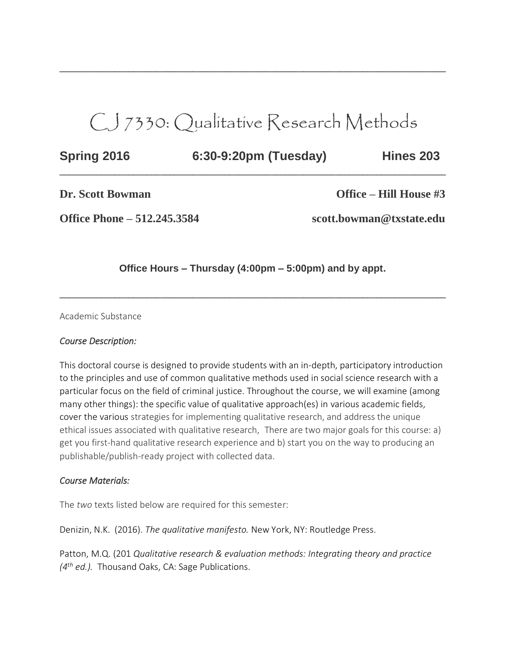# CJ 7330: Qualitative Research Methods

 $\_$  ,  $\_$  ,  $\_$  ,  $\_$  ,  $\_$  ,  $\_$  ,  $\_$  ,  $\_$  ,  $\_$  ,  $\_$  ,  $\_$  ,  $\_$  ,  $\_$  ,  $\_$  ,  $\_$  ,  $\_$  ,  $\_$  ,  $\_$  ,  $\_$  ,  $\_$  ,  $\_$  ,  $\_$  ,  $\_$  ,  $\_$  ,  $\_$  ,  $\_$  ,  $\_$  ,  $\_$  ,  $\_$  ,  $\_$  ,  $\_$  ,  $\_$  ,  $\_$  ,  $\_$  ,  $\_$  ,  $\_$  ,  $\_$  ,

| <b>Spring 2016</b> |  |
|--------------------|--|
|--------------------|--|

**Spring 2016 6:30-9:20pm (Tuesday) Hines 203**

 $\_$  ,  $\_$  ,  $\_$  ,  $\_$  ,  $\_$  ,  $\_$  ,  $\_$  ,  $\_$  ,  $\_$  ,  $\_$  ,  $\_$  ,  $\_$  ,  $\_$  ,  $\_$  ,  $\_$  ,  $\_$  ,  $\_$  ,  $\_$  ,  $\_$  ,  $\_$  ,  $\_$  ,  $\_$  ,  $\_$  ,  $\_$  ,  $\_$  ,  $\_$  ,  $\_$  ,  $\_$  ,  $\_$  ,  $\_$  ,  $\_$  ,  $\_$  ,  $\_$  ,  $\_$  ,  $\_$  ,  $\_$  ,  $\_$  ,

**Dr. Scott Bowman Office – Hill House #3**

**Office Phone – 512.245.3584 scott.bowman@txstate.edu**

# **Office Hours – Thursday (4:00pm – 5:00pm) and by appt.**

 $\_$  ,  $\_$  ,  $\_$  ,  $\_$  ,  $\_$  ,  $\_$  ,  $\_$  ,  $\_$  ,  $\_$  ,  $\_$  ,  $\_$  ,  $\_$  ,  $\_$  ,  $\_$  ,  $\_$  ,  $\_$  ,  $\_$  ,  $\_$  ,  $\_$  ,  $\_$  ,  $\_$  ,  $\_$  ,  $\_$  ,  $\_$  ,  $\_$  ,  $\_$  ,  $\_$  ,  $\_$  ,  $\_$  ,  $\_$  ,  $\_$  ,  $\_$  ,  $\_$  ,  $\_$  ,  $\_$  ,  $\_$  ,  $\_$  ,

Academic Substance

## *Course Description:*

This doctoral course is designed to provide students with an in-depth, participatory introduction to the principles and use of common qualitative methods used in social science research with a particular focus on the field of criminal justice. Throughout the course, we will examine (among many other things): the specific value of qualitative approach(es) in various academic fields, cover the various strategies for implementing qualitative research, and address the unique ethical issues associated with qualitative research, There are two major goals for this course: a) get you first-hand qualitative research experience and b) start you on the way to producing an publishable/publish-ready project with collected data.

## *Course Materials:*

The *two* texts listed below are required for this semester:

Denizin, N.K. (2016). *The qualitative manifesto.* New York, NY: Routledge Press.

Patton, M.Q. (201 *Qualitative research & evaluation methods: Integrating theory and practice (4th ed.).* Thousand Oaks, CA: Sage Publications.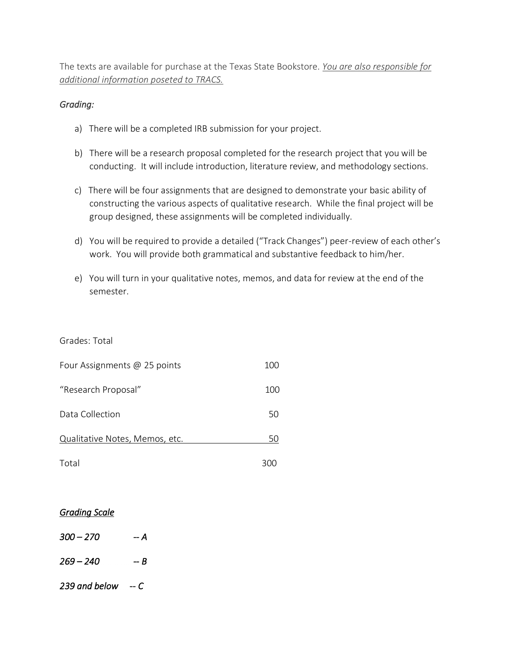The texts are available for purchase at the Texas State Bookstore. *You are also responsible for additional information poseted to TRACS.*

#### *Grading:*

- a) There will be a completed IRB submission for your project.
- b) There will be a research proposal completed for the research project that you will be conducting. It will include introduction, literature review, and methodology sections.
- c) There will be four assignments that are designed to demonstrate your basic ability of constructing the various aspects of qualitative research. While the final project will be group designed, these assignments will be completed individually.
- d) You will be required to provide a detailed ("Track Changes") peer-review of each other's work. You will provide both grammatical and substantive feedback to him/her.
- e) You will turn in your qualitative notes, memos, and data for review at the end of the semester.

#### Grades: Total

| Four Assignments @ 25 points   | 100 |
|--------------------------------|-----|
| "Research Proposal"            | 100 |
| Data Collection                | 50  |
| Qualitative Notes, Memos, etc. | 50  |
| Total                          |     |

## *Grading Scale*

*300 – 270 -- A*

 $269 - 240 - B$ 

*239 and below -- C*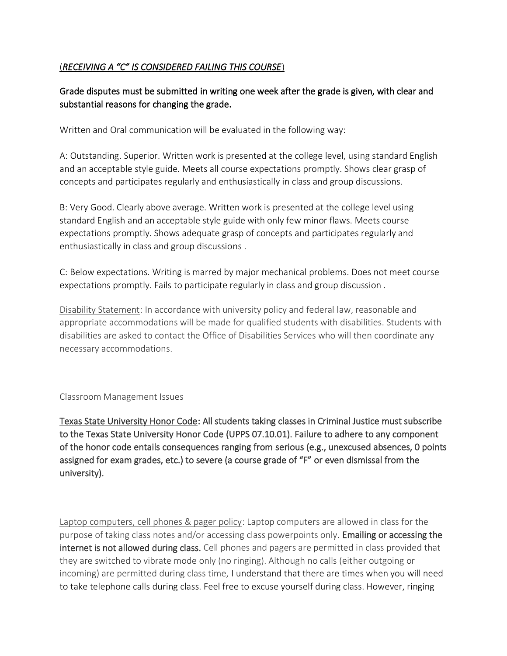# (*RECEIVING A "C" IS CONSIDERED FAILING THIS COURSE*)

# Grade disputes must be submitted in writing one week after the grade is given, with clear and substantial reasons for changing the grade.

Written and Oral communication will be evaluated in the following way:

A: Outstanding. Superior. Written work is presented at the college level, using standard English and an acceptable style guide. Meets all course expectations promptly. Shows clear grasp of concepts and participates regularly and enthusiastically in class and group discussions.

B: Very Good. Clearly above average. Written work is presented at the college level using standard English and an acceptable style guide with only few minor flaws. Meets course expectations promptly. Shows adequate grasp of concepts and participates regularly and enthusiastically in class and group discussions .

C: Below expectations. Writing is marred by major mechanical problems. Does not meet course expectations promptly. Fails to participate regularly in class and group discussion .

Disability Statement: In accordance with university policy and federal law, reasonable and appropriate accommodations will be made for qualified students with disabilities. Students with disabilities are asked to contact the Office of Disabilities Services who will then coordinate any necessary accommodations.

## Classroom Management Issues

Texas State University Honor Code: All students taking classes in Criminal Justice must subscribe to the Texas State University Honor Code (UPPS 07.10.01). Failure to adhere to any component of the honor code entails consequences ranging from serious (e.g., unexcused absences, 0 points assigned for exam grades, etc.) to severe (a course grade of "F" or even dismissal from the university).

Laptop computers, cell phones & pager policy: Laptop computers are allowed in class for the purpose of taking class notes and/or accessing class powerpoints only. Emailing or accessing the internet is not allowed during class. Cell phones and pagers are permitted in class provided that they are switched to vibrate mode only (no ringing). Although no calls (either outgoing or incoming) are permitted during class time, I understand that there are times when you will need to take telephone calls during class. Feel free to excuse yourself during class. However, ringing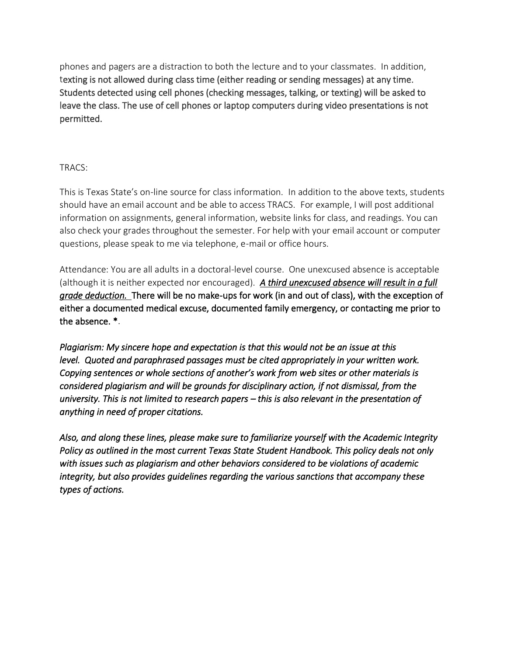phones and pagers are a distraction to both the lecture and to your classmates. In addition, texting is not allowed during class time (either reading or sending messages) at any time. Students detected using cell phones (checking messages, talking, or texting) will be asked to leave the class. The use of cell phones or laptop computers during video presentations is not permitted.

## TRACS:

This is Texas State's on-line source for class information. In addition to the above texts, students should have an email account and be able to access TRACS. For example, I will post additional information on assignments, general information, website links for class, and readings. You can also check your grades throughout the semester. For help with your email account or computer questions, please speak to me via telephone, e-mail or office hours.

Attendance: You are all adults in a doctoral-level course. One unexcused absence is acceptable (although it is neither expected nor encouraged). *A third unexcused absence will result in a full grade deduction.* There will be no make-ups for work (in and out of class), with the exception of either a documented medical excuse, documented family emergency, or contacting me prior to the absence. \*.

*Plagiarism: My sincere hope and expectation is that this would not be an issue at this level. Quoted and paraphrased passages must be cited appropriately in your written work. Copying sentences or whole sections of another's work from web sites or other materials is considered plagiarism and will be grounds for disciplinary action, if not dismissal, from the university. This is not limited to research papers – this is also relevant in the presentation of anything in need of proper citations.* 

*Also, and along these lines, please make sure to familiarize yourself with the Academic Integrity Policy as outlined in the most current Texas State Student Handbook. This policy deals not only with issues such as plagiarism and other behaviors considered to be violations of academic integrity, but also provides guidelines regarding the various sanctions that accompany these types of actions.*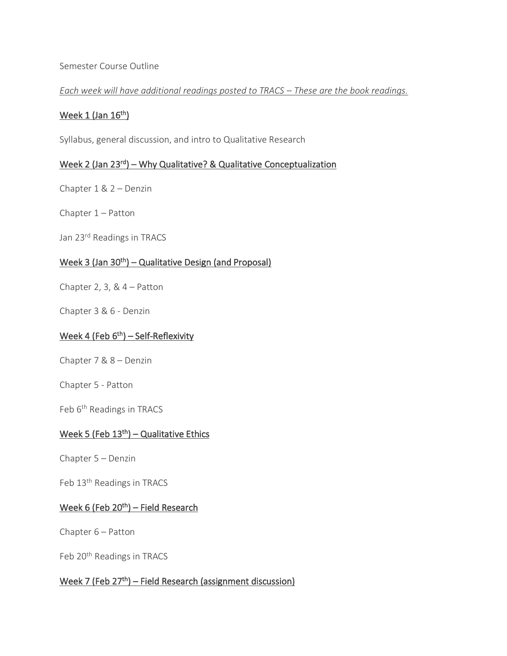#### Semester Course Outline

*Each week will have additional readings posted to TRACS – These are the book readings.* 

## Week 1 (Jan  $16<sup>th</sup>$ )

Syllabus, general discussion, and intro to Qualitative Research

## Week 2 (Jan 23<sup>rd</sup>) – Why Qualitative? & Qualitative Conceptualization

Chapter 1 & 2 – Denzin

Chapter 1 – Patton

Jan 23<sup>rd</sup> Readings in TRACS

## Week 3 (Jan 30<sup>th</sup>) – Qualitative Design (and Proposal)

Chapter 2, 3,  $& 4 -$  Patton

Chapter 3 & 6 - Denzin

#### Week 4 (Feb 6 th) – Self-Reflexivity

Chapter 7 & 8 – Denzin

Chapter 5 - Patton

Feb 6<sup>th</sup> Readings in TRACS

## Week 5 (Feb 13<sup>th</sup>) – Qualitative Ethics

Chapter 5 – Denzin

Feb 13<sup>th</sup> Readings in TRACS

#### Week 6 (Feb 20<sup>th</sup>) – Field Research

Chapter 6 – Patton

Feb 20<sup>th</sup> Readings in TRACS

# Week 7 (Feb 27th) – Field Research (assignment discussion)